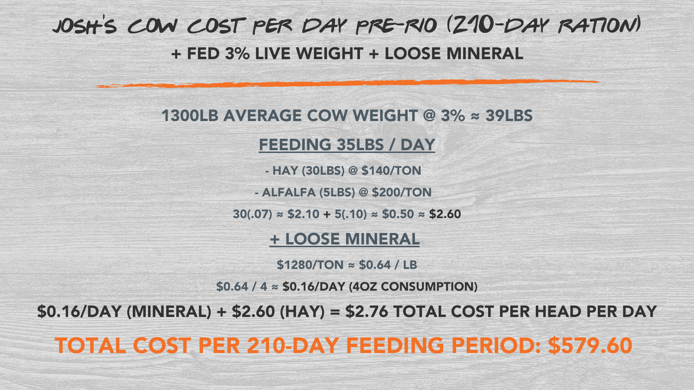## 1300LB AVERAGE COW WEIGHT @ 3% ≈ 39LBS

### FEEDING 35LBS / DAY

- HAY (30LBS) @ \$140/TON

- ALFALFA (5LBS) @ \$200/TON

 $30(.07) \approx $2.10 + 5(.10) \approx $0.50 \approx $2.60$ 

+ LOOSE MINERAL

 $$1280/TON \approx $0.64 / LB$ 

\$0.64 / 4 ≈ \$0.16/DAY (4OZ CONSUMPTION)

\$0.16/DAY (MINERAL) + \$2.60 (HAY) = \$2.76 TOTAL COST PER HEAD PER DAY

TOTAL COST PER 210-DAY FEEDING PERIOD: \$579.60

## josh 's cow cost per day pre-rio (210-day ration) + FED 3% LIVE WEIGHT + LOOSE MINERAL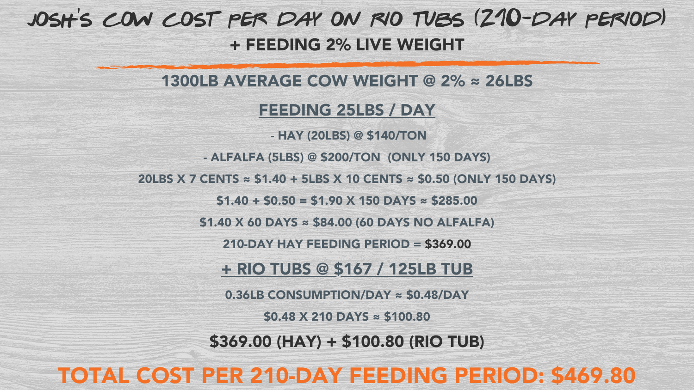### 1300LB AVERAGE COW WEIGHT @ 2% ≈ 26LBS

### FEEDING 25LBS / DAY

- HAY (20LBS) @ \$140/TON
- ALFALFA (5LBS) @ \$200/TON (ONLY 150 DAYS)
- 20LBS X 7 CENTS  $\approx$  \$1.40 + 5LBS X 10 CENTS  $\approx$  \$0.50 (ONLY 150 DAYS)
	- $$1.40 + $0.50 = $1.90 \times 150$  DAYS  $\approx $285.00$
	- $$1.40$  X 60 DAYS  $\approx$  \$84.00 (60 DAYS NO ALFALFA)
		- 210-DAY HAY FEEDING PERIOD = \$369.00
		- + RIO TUBS @ \$167 / 125LB TUB
		- 0.36LB CONSUMPTION/DAY ≈ \$0.48/DAY
			- $$0.48$  X 210 DAYS  $\approx$  \$100.80
		- \$369.00 (HAY) + \$100.80 (RIO TUB)

## TOTAL COST PER 210-DAY FEEDING PERIOD: \$469.80

## josh 's cow cost per day on rio tubs (210-day period) + FEEDING 2% LIVE WEIGHT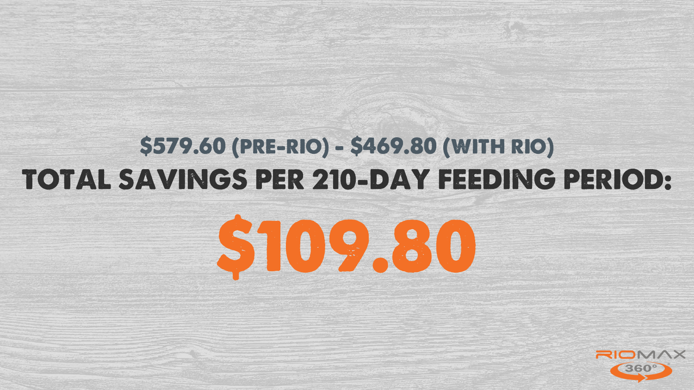# \$579.60 (pre-rio) - \$469.80 (with rio) TOTAL SAVINGS PER 210-DAY FEEDING PERIOD: